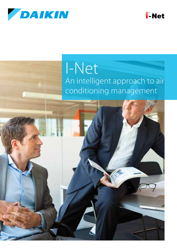



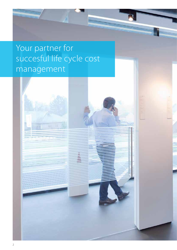

# Your partner for succesful life cycle cost management

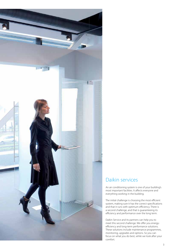

## Daikin services

An air conditioning system is one of your building's most important facilities. It affects everyone and everything working in the building.

The initial challenge is choosing the most efficient system, making sure it has the correct specifications and that it runs with optimum efficiency. There is a second challenge, and that is guaranteeing its efficiency and performance over the long term.

Daikin Service and its partners can help you to meet this second challenge. We offer you energyefficiency and long-term performance solutions. These solutions include maintenance programmes, monitoring, upgrades and options. So you can focus on what you do best, while we look after your comfort.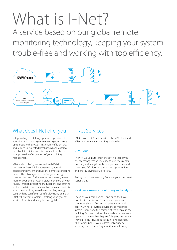# What is I-Net?

A service based on our global remote monitoring technology, keeping your system trouble-free and working with top efficiency.



## What does I-Net offer you

Safeguarding the lifelong optimum operation of your air conditioning system means getting geared up to operate the system in a energy efficient way and reduce unexpected breakdowns and costs to the absolute minimum. This is where I-Net helps to improve the effectiveness of your building management.

I-Net is about 'being connected' with Daikin, the Internet-based link between you, your air conditioning system and Daikin's Remote Monitoring Centre. This allows you to monitor your energy consumption and Daikin's expert service engineers to monitor your entire system's status non-stop, all year round. Through predicting malfunctions and offering technical advice from data analysis, you can maximise equipment uptime, as well as controlling energy costs with no sacrifice in comfort levels. By doing this, i-Net will prevent problems, prolong your system's service life while reducing the energy bill.

## I-Net Services

i-Net consists of 2 main services: the VRV Cloud and I-Net performance monitoring and analysis.

### VRV Cloud

The VRV Cloud puts you in the driving seat of your energy management. The easy-to-use energy data trending and analytic tools puts you in control and shows you CO2 footprint reduction opportunities and energy savings of up to 15%.

Saving starts by measuring. Enhance your company's sustainability !

### I-Net performance monitoring and analysis

Focus on your core business and hand the HVAC over to Daikin. Daikin I-Net connects your system continuously with Daikin. It notifies alarms and early warnings of system deviations to maximise system uptime and the comfort of the people in the building. Service providers have webbased access to operation data so that they are fully prepared when they arrive on-site. Specialists run trend analyses. All of which boosts your system's reliability by ensuring that it is running at optimum efficiency.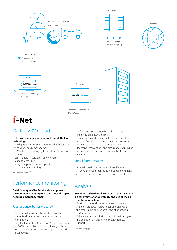



## Daikin VRV Cloud

#### **Helps you manage your energy through Daikin technology.**

- › Intelligent energy visualization tool that helps you with your energy management
- › 24/7 online monitoring by the customer from any location.
- › User friendly visualization of VRV energy management (kWh)
- › Analysis support of waste operation
- › Multiple site monitoring

More details on page 6-7

## Performance monitoring

#### **Daikin's unique I-Net Service aims to prevent the equipment coming to an unexpected stop or needing emergency repair.**

#### Fast response, better prepared

- › If an alarm does occur, the service provider is immediately alerted and receives all crucial information.
- › Early fault indication (predictions) : operation data are 24/7 checked by I-Net prediction algorithms to act as early as possible, averting unscheduled breakdowns.
- › Performance Supervision by Daikin experts enhances a maintenance plan.
- › This service aims to enhance the service level, to respond fast and accurate, to save on unexpected repair costs and assure the peace of mind. Repetitive interventions and disturbance of building tenants and maintenance teams are kept to a minimum.

#### Long lifetime systems

› I-Net will maximise the installation's lifetime, by assuring the equipment runs in optimal conditions and avoid unnecessary stress on components.

## Analysis

#### **Be connected with Daikin's experts, this gives you a clear overview of operability and use of the air conditioning system.**

- › Daikin continuously monitors energy, operation and comfort data. Thanks to periodic analysis of the data, Daikin can suggest ways of improving performance.
- › if there is a problem, Daikin specialists will analyse the operation data history to provide remote support.

More details on page 8-9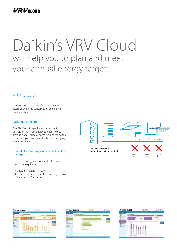

# Daikin's VRV Cloud will help you to plan and meet your annual energy target.

## VRV Cloud

The VRV Cloud's user interface helps you to assess your energy consumption at a glance from anywhere.

#### Packaged concept

The VRV Cloud is a packaged system which delivers all the information you need, without any additional wiring or sensors. Once the system is installed, you can immediately start managing your energy use.

#### Benefits for building owners and facility managers

Boost your energy management with lower manpower requirement.

- › Increased tenant satifsfaction
- $\rightarrow$  Reduced energy consumption and CO<sub>2</sub> emissions
- › Enhances your CSR profile



meter

sensors

job







6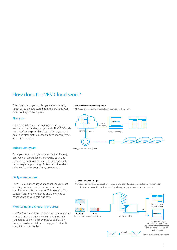## How does the VRV Cloud work?

The system helps you to plan your annual energy target based on data stored from the previous year, or from a target which you set.

#### First year

The first step towards managing your energy use involves understanding usage trends. The VRV Cloud's user interface displays this graphically, so you get a quick and clear picture of the amount of energy your VRV system is using.

#### Subsequent years

Once you understand your current levels of energy use, you can start to look at managing your longterm use by setting an annual energy target. Daikin has a unique Target Energy Assister function which helps you to meet your energy use targets.

#### Daily management

The VRV Cloud manages your annual energy target remotely and sends daily control commands to the VRV system via the Internet. This frees you from constant tiresome monitoring and allows you to concentrate on your core business.

#### Monitoring and checking progress

The VRV Cloud monitors the evolution of your annual energy plan. If the energy consumption exceeds your target, you will be prompted to take action. Comprehensible analytics will help you to identify the origin of the problem.

#### **Execute Daily Energy Management**

VRV Cloud is showing the impact of daily operation of the system.





#### **Monitor and Check Progress**

VRV Cloud monitors the progress of your annual energy plan. If projected annual energy consumption exceeds the target value, blue, yellow and red symbols prompt you to take countermeasures.

e-mail





Keep present target but execute stricter VRV out execute stricter vitv remote controller, I-Touch Manager, etc

Notify customer to take action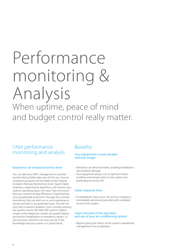# Performance monitoring & Analysis When uptime, peace of mind

and budget control really matter.

## I-Net performance monitoring and analysis

#### Experience an enhanced service level

You can take your HVAC management to another level by letting Daikin take care of it for you. Your air conditioning system will be linked via the Internet to Daikin's Remote Monitoring Centre. Expert Daikin engineers, supported by algorithms, will monitor your system's operating status non-stop. They will ensure that your system's energy efficiency is maximised by running optimally at all times. Through this constant monitoring, they can alert you or your maintenance service provider to any potential issues. This will not only help to prevent problems, but it will also prolong the system's service life. With VRV systems, Daikin's unique online diagnostic system can predict failures and prevent breakdowns or emergency repairs. So you and your customers can relax, secure in the knowledge that your system is in good hands.

### Benefits

#### Your equipment is more durable and lasts longer

- › Deviations are detected earlier, avoiding breakdowns and resultant damage.
- › Your equipment always runs at optimum levels, avoiding unnecessary stress on the system and prolonging its service life.

#### Faster response time

› If a breakdown does occur, the service company is immediately alerted and provided with a detailed record of the system.

#### Clear overview of the operation and use of your air conditioning system

› Reports giving the history of the system's operational management and its operation.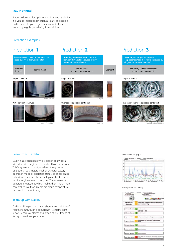#### Stay in control

If you are looking for optimum uptime and reliability, it is vital to intercept deviations as early as possible. Daikin can help you to get the most out of your system by regularly analysing its condition.

#### Prediction examples

| Preventing wet operation that would be<br>cased by dirty indoor unit air filter. |                      |  |  |  |
|----------------------------------------------------------------------------------|----------------------|--|--|--|
| Crankshaft<br>journal                                                            | <b>Bearing metal</b> |  |  |  |

#### Proper operation







Preventing power-waste and high-stress operation that would be caused by dirty indoor-unit heat exchanger.

| Bearing metal | Movable scroll<br>(compressor component) | Lubricant |
|---------------|------------------------------------------|-----------|
|               |                                          |           |

#### Proper operation **Proper operation**





Preventing an unexpected stop and compressor damage that would be caused by refrigerant shortage (out of gas)

> Stationary and movable scrolls (compressor component)



Wet operation continued **Source of the Continued** Coverloaded operation continued Refrigerant-shortage operation continued



wear-cut or seizure enlarged and the seizure enlarged the seizure of the seizure of the Sludge (carbide) deposits

#### Learn from the data

Daikin has created its own 'prediction analytics', a 'virtual service engineer', to predict HVAC behaviour. This 'engineer' constantly analyses the system's operational parameters (such as actuator status, operation mode or operation status) to check on its behaviour. These are the same logical checks that a service engineer would carry out. They are used to generate predictions, which makes them much more comprehensive than simple pre-alarm temperature/ pressure level monitoring.

#### Team up with Daikin

Daikin will keep you updated about the condition of your system through a comprehensive traffic light report, records of alarms and graphics, plus trends of its key operational parameters.

#### Operation data graph



#### Unit operation summery

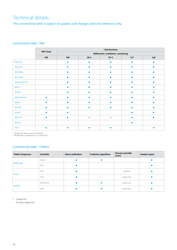## Technical details

This connectivity table is subject to updates and changes and is for reference only.

### Connectivity table - VRV

|                                               | <b>VRV Cloud</b> | i-Net functions                       |           |           |     |     |
|-----------------------------------------------|------------------|---------------------------------------|-----------|-----------|-----|-----|
|                                               |                  | Malfunction / prediction / monitoring |           |           |     |     |
|                                               | iTM              | <b>iTM</b>                            | $iM-3$    | iTC-C     | LC7 | LC8 |
| VRV-KH/P                                      |                  |                                       | ۵         |           |     |     |
| VRV-KH/R                                      |                  | ●                                     |           |           |     |     |
| <b>VRV-K R407c</b>                            |                  |                                       |           |           |     |     |
| <b>VRV-L R407c</b>                            |                  | ●                                     | ٠         |           |     |     |
| VRV-M H/P & H/R                               |                  |                                       |           |           |     |     |
| <b>VRVII-S</b>                                |                  |                                       |           |           |     |     |
| <b>VRV-WII</b>                                |                  |                                       |           |           |     |     |
| VRVIII H/P & H/R                              | $\bullet$        |                                       | $\bullet$ |           |     |     |
| <b>VRVIII-S</b>                               | $\bullet$        | ●                                     |           |           |     |     |
| <b>VRV-WIII</b>                               |                  |                                       | ٠         |           |     |     |
| ${\sf VRVIII}\text{-}{\sf C}^{\boldsymbol *}$ | $\bullet$        | $\bullet$                             |           |           |     |     |
| VRVIII-Q**                                    | ▲                |                                       | $\bullet$ | $\bullet$ |     |     |
| VRV-CO <sub>2</sub>                           |                  |                                       |           |           | ٠   |     |
| <b>VRV IV</b>                                 |                  |                                       |           |           |     |     |

\* Booster unit data cannot be monitored \*\* RQYQ8-48P is supported by LC7, LC8 and ITM

### Connectivity table - Chillers

| <b>Chiller Compressor</b> | <b>Controller</b> | <b>Alarm notification</b> | <b>Prediction algorithms</b> | <b>Remote controller</b><br>access | Analysis report |
|---------------------------|-------------------|---------------------------|------------------------------|------------------------------------|-----------------|
| Multiscroll               | PCASO             |                           |                              |                                    |                 |
|                           | MT3               |                           |                              |                                    |                 |
| <b>Screw</b>              | MT <sub>2</sub>   |                           |                              | read only                          |                 |
|                           | MT3               |                           |                              | read & write                       |                 |
| <b>Centrif</b>            | MT2 (PCO2)        |                           |                              | read & write                       |                 |
|                           | <b>MTE</b>        |                           |                              | read & write                       |                 |

• Supported

Partially supported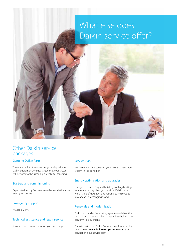## What else does Daikin service offer?



## Other Daikin service packages

#### Genuine Daikin Parts

These are built to the same design and quality as Daikin equipment. We guarantee that your system will perform to the same high level after servicing.

#### Start-up and commissioning

Experts trained by Daikin ensure the installation runs exactly as specified.

#### Emergency support

Available 24/7.

#### Technical assistance and repair service

You can count on us whenever you need help.

#### Service Plan

Maintenance plans tuned to your needs to keep your system in top condition.

#### Energy optimisation and upgrades

Energy costs are rising and building cooling/heating requirements may change over time. Daikin has a wide range of upgrades and retrofits to help you to stay ahead in a changing world.

#### Renewals and modernisation

Daikin can modernise existing systems to deliver the best value for money, solve logistical headaches or to conform to regulations.

For information on Daikin Service consult our service brochure on **www.daikineurope.com/service** or contact one our service staff.